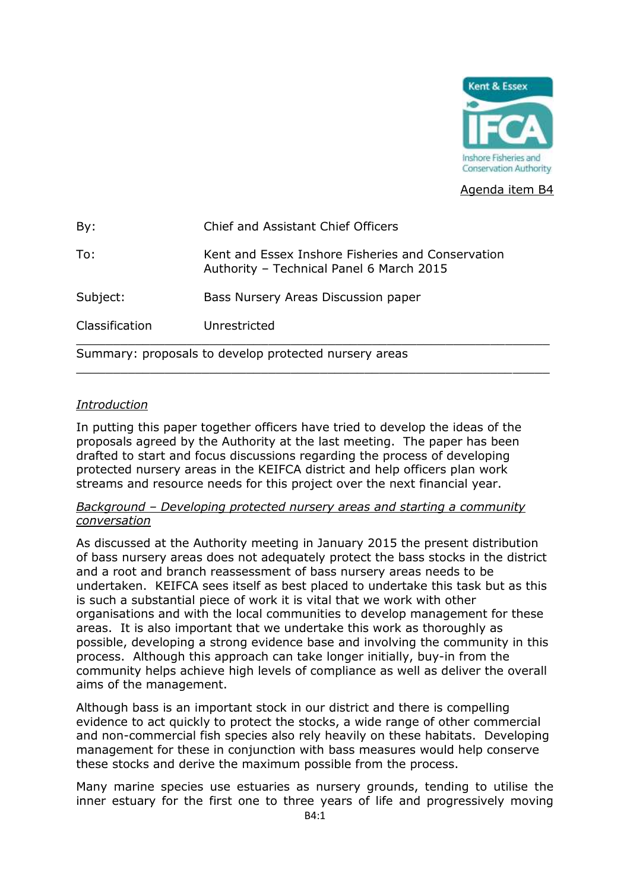

Agenda item B4

| By:                                                   | Chief and Assistant Chief Officers                                                            |  |  |  |
|-------------------------------------------------------|-----------------------------------------------------------------------------------------------|--|--|--|
| To:                                                   | Kent and Essex Inshore Fisheries and Conservation<br>Authority - Technical Panel 6 March 2015 |  |  |  |
| Subject:                                              | Bass Nursery Areas Discussion paper                                                           |  |  |  |
| Classification                                        | Unrestricted                                                                                  |  |  |  |
| Summary: proposals to develop protected nursery areas |                                                                                               |  |  |  |

\_\_\_\_\_\_\_\_\_\_\_\_\_\_\_\_\_\_\_\_\_\_\_\_\_\_\_\_\_\_\_\_\_\_\_\_\_\_\_\_\_\_\_\_\_\_\_\_\_\_\_\_\_\_\_\_\_\_\_\_\_\_\_\_

# *Introduction*

In putting this paper together officers have tried to develop the ideas of the proposals agreed by the Authority at the last meeting. The paper has been drafted to start and focus discussions regarding the process of developing protected nursery areas in the KEIFCA district and help officers plan work streams and resource needs for this project over the next financial year.

# *Background – Developing protected nursery areas and starting a community conversation*

As discussed at the Authority meeting in January 2015 the present distribution of bass nursery areas does not adequately protect the bass stocks in the district and a root and branch reassessment of bass nursery areas needs to be undertaken. KEIFCA sees itself as best placed to undertake this task but as this is such a substantial piece of work it is vital that we work with other organisations and with the local communities to develop management for these areas. It is also important that we undertake this work as thoroughly as possible, developing a strong evidence base and involving the community in this process. Although this approach can take longer initially, buy-in from the community helps achieve high levels of compliance as well as deliver the overall aims of the management.

Although bass is an important stock in our district and there is compelling evidence to act quickly to protect the stocks, a wide range of other commercial and non-commercial fish species also rely heavily on these habitats. Developing management for these in conjunction with bass measures would help conserve these stocks and derive the maximum possible from the process.

Many marine species use estuaries as nursery grounds, tending to utilise the inner estuary for the first one to three years of life and progressively moving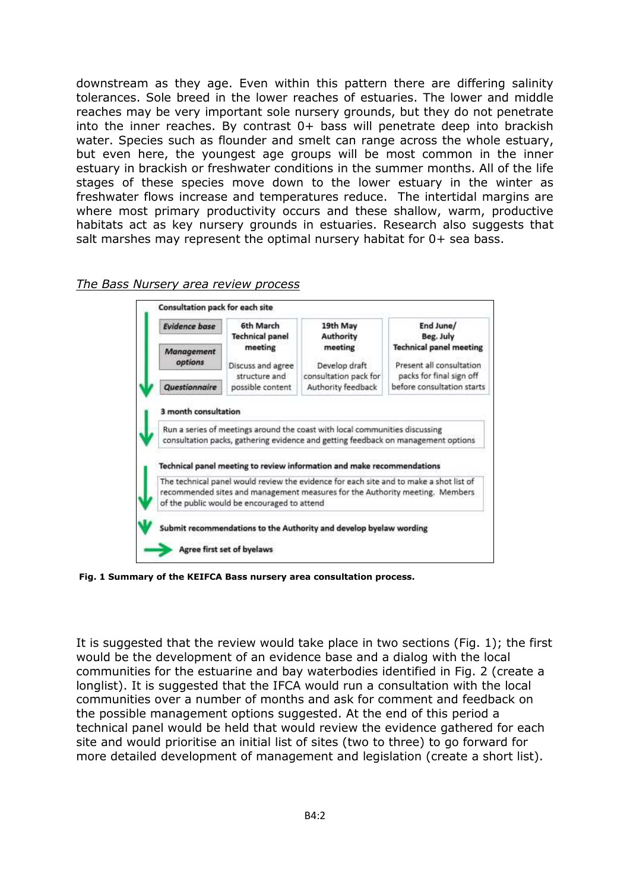downstream as they age. Even within this pattern there are differing salinity tolerances. Sole breed in the lower reaches of estuaries. The lower and middle reaches may be very important sole nursery grounds, but they do not penetrate into the inner reaches. By contrast  $0+$  bass will penetrate deep into brackish water. Species such as flounder and smelt can range across the whole estuary, but even here, the youngest age groups will be most common in the inner estuary in brackish or freshwater conditions in the summer months. All of the life stages of these species move down to the lower estuary in the winter as freshwater flows increase and temperatures reduce. The intertidal margins are where most primary productivity occurs and these shallow, warm, productive habitats act as key nursery grounds in estuaries. Research also suggests that salt marshes may represent the optimal nursery habitat for 0+ sea bass.



#### *The Bass Nursery area review process*

**Fig. 1 Summary of the KEIFCA Bass nursery area consultation process.** 

It is suggested that the review would take place in two sections (Fig. 1); the first would be the development of an evidence base and a dialog with the local communities for the estuarine and bay waterbodies identified in Fig. 2 (create a longlist). It is suggested that the IFCA would run a consultation with the local communities over a number of months and ask for comment and feedback on the possible management options suggested. At the end of this period a technical panel would be held that would review the evidence gathered for each site and would prioritise an initial list of sites (two to three) to go forward for more detailed development of management and legislation (create a short list).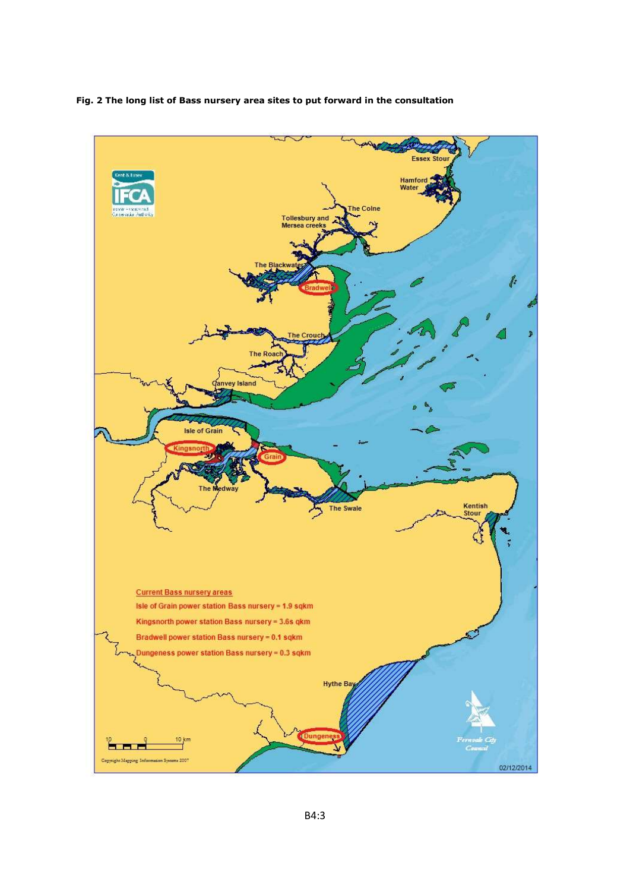**Fig. 2 The long list of Bass nursery area sites to put forward in the consultation**

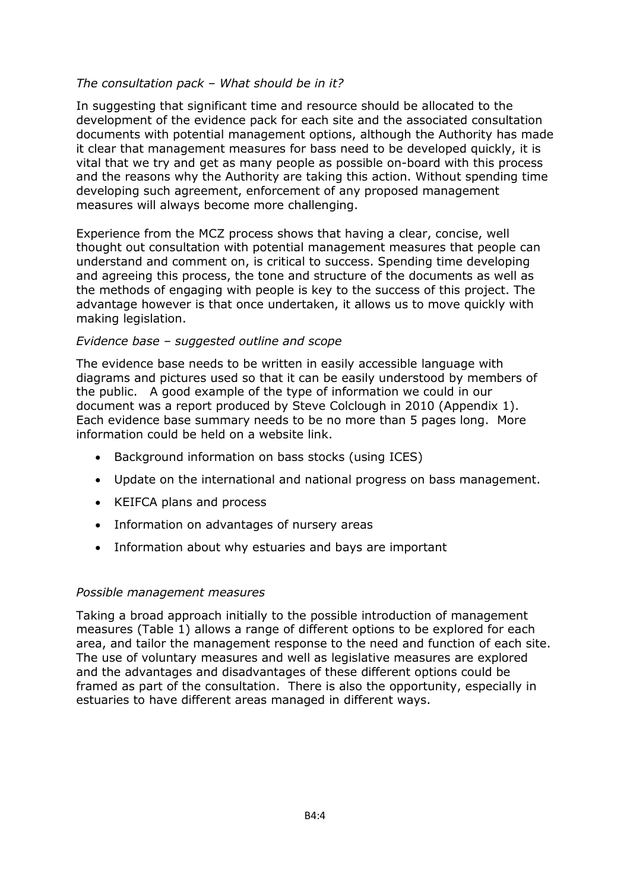## *The consultation pack – What should be in it?*

In suggesting that significant time and resource should be allocated to the development of the evidence pack for each site and the associated consultation documents with potential management options, although the Authority has made it clear that management measures for bass need to be developed quickly, it is vital that we try and get as many people as possible on-board with this process and the reasons why the Authority are taking this action. Without spending time developing such agreement, enforcement of any proposed management measures will always become more challenging.

Experience from the MCZ process shows that having a clear, concise, well thought out consultation with potential management measures that people can understand and comment on, is critical to success. Spending time developing and agreeing this process, the tone and structure of the documents as well as the methods of engaging with people is key to the success of this project. The advantage however is that once undertaken, it allows us to move quickly with making legislation.

## *Evidence base – suggested outline and scope*

The evidence base needs to be written in easily accessible language with diagrams and pictures used so that it can be easily understood by members of the public. A good example of the type of information we could in our document was a report produced by Steve Colclough in 2010 (Appendix 1). Each evidence base summary needs to be no more than 5 pages long. More information could be held on a website link.

- Background information on bass stocks (using ICES)
- Update on the international and national progress on bass management.
- KEIFCA plans and process
- Information on advantages of nursery areas
- Information about why estuaries and bays are important

### *Possible management measures*

Taking a broad approach initially to the possible introduction of management measures (Table 1) allows a range of different options to be explored for each area, and tailor the management response to the need and function of each site. The use of voluntary measures and well as legislative measures are explored and the advantages and disadvantages of these different options could be framed as part of the consultation. There is also the opportunity, especially in estuaries to have different areas managed in different ways.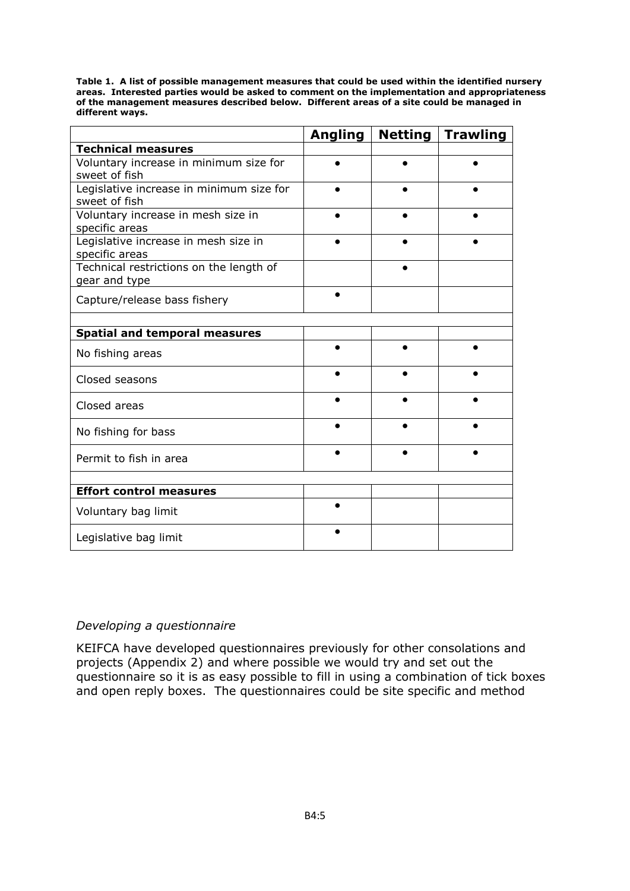**Table 1. A list of possible management measures that could be used within the identified nursery areas. Interested parties would be asked to comment on the implementation and appropriateness of the management measures described below. Different areas of a site could be managed in different ways.** 

|                                                           | <b>Angling</b> | <b>Netting</b> | <b>Trawling</b> |
|-----------------------------------------------------------|----------------|----------------|-----------------|
| <b>Technical measures</b>                                 |                |                |                 |
| Voluntary increase in minimum size for<br>sweet of fish   |                |                |                 |
| Legislative increase in minimum size for<br>sweet of fish |                |                |                 |
| Voluntary increase in mesh size in<br>specific areas      |                |                |                 |
| Legislative increase in mesh size in<br>specific areas    |                |                |                 |
| Technical restrictions on the length of<br>gear and type  |                |                |                 |
| Capture/release bass fishery                              |                |                |                 |
|                                                           |                |                |                 |
| <b>Spatial and temporal measures</b>                      |                |                |                 |
| No fishing areas                                          |                |                |                 |
| Closed seasons                                            |                |                |                 |
| Closed areas                                              |                |                |                 |
| No fishing for bass                                       |                |                |                 |
| Permit to fish in area                                    |                |                |                 |
|                                                           |                |                |                 |
| <b>Effort control measures</b>                            |                |                |                 |
| Voluntary bag limit                                       |                |                |                 |
| Legislative bag limit                                     |                |                |                 |

# *Developing a questionnaire*

KEIFCA have developed questionnaires previously for other consolations and projects (Appendix 2) and where possible we would try and set out the questionnaire so it is as easy possible to fill in using a combination of tick boxes and open reply boxes. The questionnaires could be site specific and method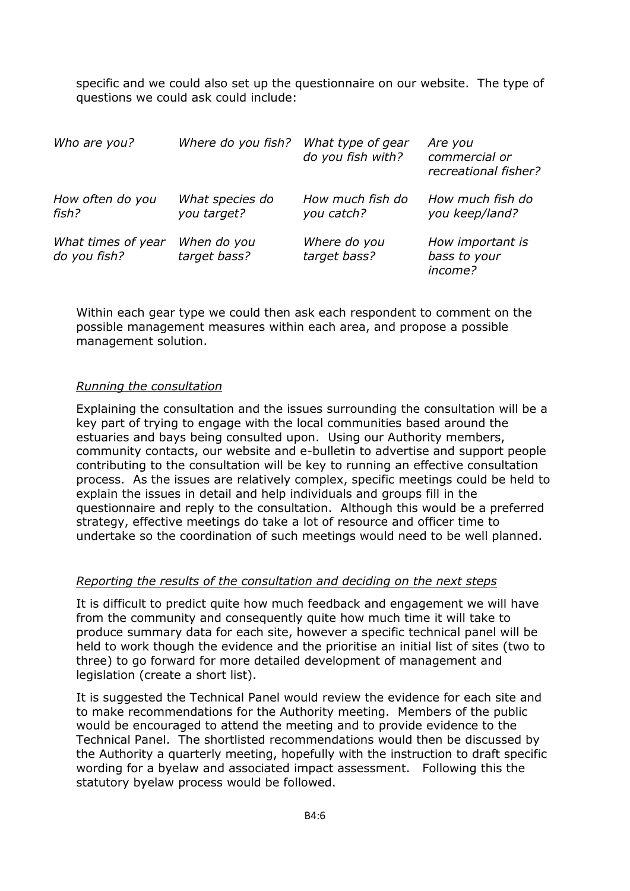specific and we could also set up the questionnaire on our website. The type of questions we could ask could include:

| Who are you?                       | Where do you fish?             | What type of gear<br>do you fish with? | Are you<br>commercial or<br>recreational fisher? |
|------------------------------------|--------------------------------|----------------------------------------|--------------------------------------------------|
| How often do you<br>fish?          | What species do<br>you target? | How much fish do<br>you catch?         | How much fish do<br>you keep/land?               |
| What times of year<br>do you fish? | When do you<br>target bass?    | Where do you<br>target bass?           | How important is<br>bass to your<br>income?      |

Within each gear type we could then ask each respondent to comment on the possible management measures within each area, and propose a possible management solution.

#### *Running the consultation*

Explaining the consultation and the issues surrounding the consultation will be a key part of trying to engage with the local communities based around the estuaries and bays being consulted upon. Using our Authority members, community contacts, our website and e-bulletin to advertise and support people contributing to the consultation will be key to running an effective consultation process. As the issues are relatively complex, specific meetings could be held to explain the issues in detail and help individuals and groups fill in the questionnaire and reply to the consultation. Although this would be a preferred strategy, effective meetings do take a lot of resource and officer time to undertake so the coordination of such meetings would need to be well planned.

#### *Reporting the results of the consultation and deciding on the next steps*

It is difficult to predict quite how much feedback and engagement we will have from the community and consequently quite how much time it will take to produce summary data for each site, however a specific technical panel will be held to work though the evidence and the prioritise an initial list of sites (two to three) to go forward for more detailed development of management and legislation (create a short list).

It is suggested the Technical Panel would review the evidence for each site and to make recommendations for the Authority meeting. Members of the public would be encouraged to attend the meeting and to provide evidence to the Technical Panel. The shortlisted recommendations would then be discussed by the Authority a quarterly meeting, hopefully with the instruction to draft specific wording for a byelaw and associated impact assessment. Following this the statutory byelaw process would be followed.